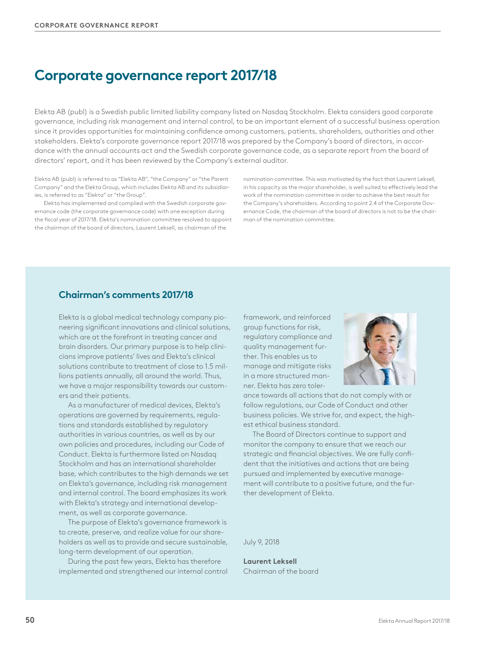# **Corporate governance report 2017/18**

Elekta AB (publ) is a Swedish public limited liability company listed on Nasdaq Stockholm. Elekta considers good corporate governance, including risk management and internal control, to be an important element of a successful business operation since it provides opportunities for maintaining confidence among customers, patients, shareholders, authorities and other stakeholders. Elekta's corporate governance report 2017/18 was prepared by the Company's board of directors, in accordance with the annual accounts act and the Swedish corporate governance code, as a separate report from the board of directors' report, and it has been reviewed by the Company's external auditor.

Elekta AB (publ) is referred to as "Elekta AB", "the Company" or "the Parent Company" and the Elekta Group, which includes Elekta AB and its subsidiaries, is referred to as "Elekta" or "the Group".

Elekta has implemented and complied with the Swedish corporate governance code (the corporate governance code) with one exception during the fiscal year of 2017/18. Elekta's nomination committee resolved to appoint the chairman of the board of directors, Laurent Leksell, as chairman of the

nomination committee. This was motivated by the fact that Laurent Leksell, in his capacity as the major shareholder, is well suited to effectively lead the work of the nomination committee in order to achieve the best result for the Company's shareholders. According to point 2.4 of the Corporate Governance Code, the chairman of the board of directors is not to be the chairman of the nomination committee.

## **Chairman's comments 2017/18**

Elekta is a global medical technology company pioneering significant innovations and clinical solutions, which are at the forefront in treating cancer and brain disorders. Our primary purpose is to help clinicians improve patients' lives and Elekta's clinical solutions contribute to treatment of close to 1.5 millions patients annually, all around the world. Thus, we have a major responsibility towards our customers and their patients.

As a manufacturer of medical devices, Elekta's operations are governed by requirements, regulations and standards established by regulatory authorities in various countries, as well as by our own policies and procedures, including our Code of Conduct. Elekta is furthermore listed on Nasdaq Stockholm and has an international shareholder base, which contributes to the high demands we set on Elekta's governance, including risk management and internal control. The board emphasizes its work with Elekta's strategy and international development, as well as corporate governance.

The purpose of Elekta's governance framework is to create, preserve, and realize value for our shareholders as well as to provide and secure sustainable, long-term development of our operation.

During the past few years, Elekta has therefore implemented and strengthened our internal control framework, and reinforced group functions for risk, regulatory compliance and quality management further. This enables us to manage and mitigate risks in a more structured manner. Elekta has zero toler-



ance towards all actions that do not comply with or follow regulations, our Code of Conduct and other business policies. We strive for, and expect, the highest ethical business standard.

The Board of Directors continue to support and monitor the company to ensure that we reach our strategic and financial objectives. We are fully confident that the initiatives and actions that are being pursued and implemented by executive management will contribute to a positive future, and the further development of Elekta.

July 9, 2018

**Laurent Leksell** Chairman of the board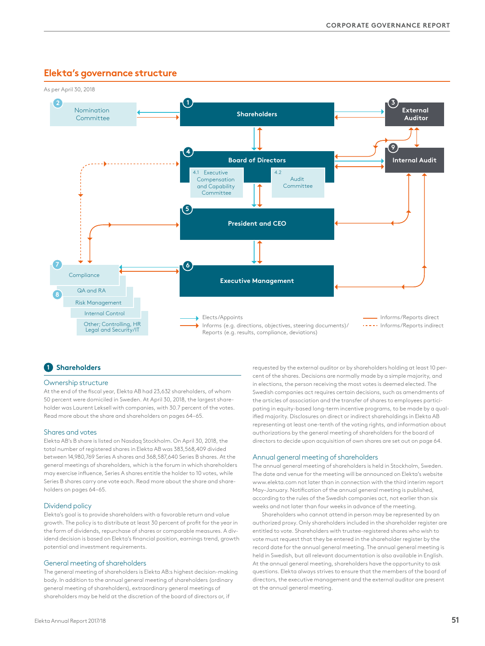## **Elekta's governance structure**



## **1 Shareholders**

#### Ownership structure

At the end of the fiscal year, Elekta AB had 23,632 shareholders, of whom 50 percent were domiciled in Sweden. At April 30, 2018, the largest shareholder was Laurent Leksell with companies, with 30.7 percent of the votes. Read more about the share and shareholders on pages 64–65.

#### Shares and votes

Elekta AB's B share is listed on Nasdaq Stockholm. On April 30, 2018, the total number of registered shares in Elekta AB was 383,568,409 divided between 14,980,769 Series A shares and 368,587,640 Series B shares. At the general meetings of shareholders, which is the forum in which shareholders may exercise influence, Series A shares entitle the holder to 10 votes, while Series B shares carry one vote each. Read more about the share and shareholders on pages 64–65.

#### Dividend policy

Elekta's goal is to provide shareholders with a favorable return and value growth. The policy is to distribute at least 30 percent of profit for the year in the form of dividends, repurchase of shares or comparable measures. A dividend decision is based on Elekta's financial position, earnings trend, growth potential and investment requirements.

#### General meeting of shareholders

The general meeting of shareholders is Elekta AB:s highest decision-making body. In addition to the annual general meeting of shareholders (ordinary general meeting of shareholders), extraordinary general meetings of shareholders may be held at the discretion of the board of directors or, if

requested by the external auditor or by shareholders holding at least 10 percent of the shares. Decisions are normally made by a simple majority, and in elections, the person receiving the most votes is deemed elected. The Swedish companies act requires certain decisions, such as amendments of the articles of association and the transfer of shares to employees participating in equity-based long-term incentive programs, to be made by a qualified majority. Disclosures on direct or indirect shareholdings in Elekta AB representing at least one-tenth of the voting rights, and information about authorizations by the general meeting of shareholders for the board of directors to decide upon acquisition of own shares are set out on page 64.

#### Annual general meeting of shareholders

The annual general meeting of shareholders is held in Stockholm, Sweden. The date and venue for the meeting will be announced on Elekta's website www.elekta.com not later than in connection with the third interim report May–January. Notification of the annual general meeting is published, according to the rules of the Swedish companies act, not earlier than six weeks and not later than four weeks in advance of the meeting.

Shareholders who cannot attend in person may be represented by an authorized proxy. Only shareholders included in the shareholder register are entitled to vote. Shareholders with trustee-registered shares who wish to vote must request that they be entered in the shareholder register by the record date for the annual general meeting. The annual general meeting is held in Swedish, but all relevant documentation is also available in English. At the annual general meeting, shareholders have the opportunity to ask questions. Elekta always strives to ensure that the members of the board of directors, the executive management and the external auditor are present at the annual general meeting.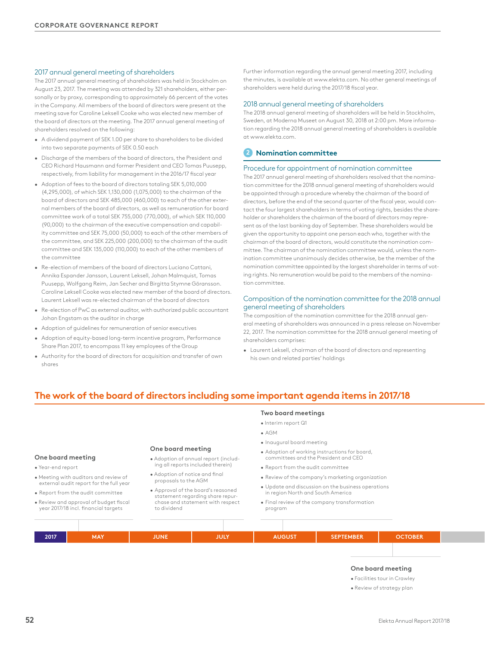### 2017 annual general meeting of shareholders

The 2017 annual general meeting of shareholders was held in Stockholm on August 23, 2017. The meeting was attended by 321 shareholders, either personally or by proxy, corresponding to approximately 66 percent of the votes in the Company. All members of the board of directors were present at the meeting save for Caroline Leksell Cooke who was elected new member of the board of directors at the meeting. The 2017 annual general meeting of shareholders resolved on the following:

- A dividend payment of SEK 1.00 per share to shareholders to be divided into two separate payments of SEK 0.50 each
- Discharge of the members of the board of directors, the President and CEO Richard Hausmann and former President and CEO Tomas Puusepp, respectively, from liability for management in the 2016/17 fiscal year
- Adoption of fees to the board of directors totaling SEK 5,010,000 (4,295,000), of which SEK 1,130,000 (1,075,000) to the chairman of the board of directors and SEK 485,000 (460,000) to each of the other external members of the board of directors, as well as remuneration for board committee work of a total SEK 755,000 (770,000), of which SEK 110,000 (90,000) to the chairman of the executive compensation and capability committee and SEK 75,000 (50,000) to each of the other members of the committee, and SEK 225,000 (200,000) to the chairman of the audit committee and SEK 135,000 (110,000) to each of the other members of the committee
- Re-election of members of the board of directors Luciano Cattani, Annika Espander Jansson, Laurent Leksell, Johan Malmquist, Tomas Puusepp, Wolfgang Reim, Jan Secher and Birgitta Stymne Göransson. Caroline Leksell Cooke was elected new member of the board of directors. Laurent Leksell was re-elected chairman of the board of directors
- Re-election of PwC as external auditor, with authorized public accountant Johan Engstam as the auditor in charge
- Adoption of guidelines for remuneration of senior executives
- Adoption of equity-based long-term incentive program, Performance Share Plan 2017, to encompass 11 key employees of the Group
- Authority for the board of directors for acquisition and transfer of own shares

Further information regarding the annual general meeting 2017, including the minutes, is available at www.elekta.com. No other general meetings of shareholders were held during the 2017/18 fiscal year.

#### 2018 annual general meeting of shareholders

The 2018 annual general meeting of shareholders will be held in Stockholm, Sweden, at Moderna Museet on August 30, 2018 at 2:00 pm. More information regarding the 2018 annual general meeting of shareholders is available at www.elekta.com.

## **2 Nomination committee**

### Procedure for appointment of nomination committee

The 2017 annual general meeting of shareholders resolved that the nomination committee for the 2018 annual general meeting of shareholders would be appointed through a procedure whereby the chairman of the board of directors, before the end of the second quarter of the fiscal year, would contact the four largest shareholders in terms of voting rights, besides the shareholder or shareholders the chairman of the board of directors may represent as of the last banking day of September. These shareholders would be given the opportunity to appoint one person each who, together with the chairman of the board of directors, would constitute the nomination committee. The chairman of the nomination committee would, unless the nomination committee unanimously decides otherwise, be the member of the nomination committee appointed by the largest shareholder in terms of voting rights. No remuneration would be paid to the members of the nomination committee.

#### Composition of the nomination committee for the 2018 annual general meeting of shareholders

The composition of the nomination committee for the 2018 annual general meeting of shareholders was announced in a press release on November 22, 2017. The nomination committee for the 2018 annual general meeting of shareholders comprises:

• Laurent Leksell, chairman of the board of directors and representing his own and related parties' holdings

## **The work of the board of directors including some important agenda items in 2017/18**

#### **One board meeting**

• Year-end report

- Meeting with auditors and review of external audit report for the full year
- Report from the audit committee
- Review and approval of budget fiscal year 2017/18 incl. financial targets

**One board meeting** 

- Adoption of annual report (including all reports included therein)
- Adoption of notice and final proposals to the AGM
- Approval of the board's reasoned statement regarding share repurchase and statement with respect to dividend

#### **Two board meetings**

- Interim report Q1
- AGM
- Inaugural board meeting
- Adoption of working instructions for board, committees and the President and CEO
- Report from the audit committee
- Review of the company's marketing organization
- Update and discussion on the business operations in region North and South America
- Final review of the company transformation program

| 2017 | <b>MAY</b> | JUNE <sup>1</sup> | <b>JULY</b> | <b>AUGUST</b> | SEPTEMBER | <b>OCTOBER</b> |  |
|------|------------|-------------------|-------------|---------------|-----------|----------------|--|
|      |            |                   |             |               |           |                |  |

## **One board meeting**

• Facilities tour in Crawley

• Review of strategy plan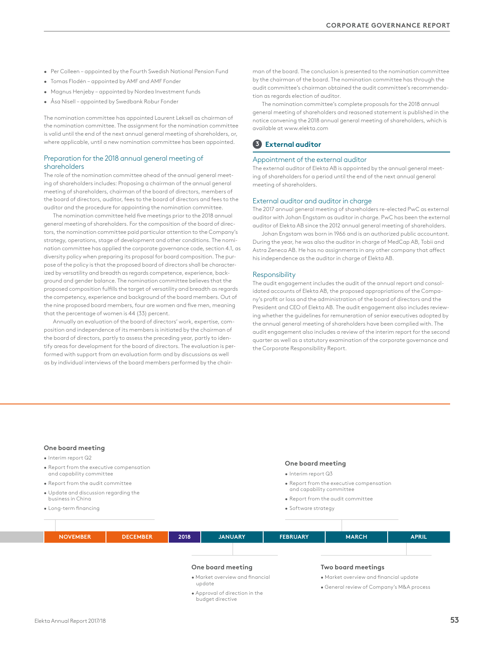- Per Colleen appointed by the Fourth Swedish National Pension Fund
- Tomas Flodén appointed by AMF and AMF Fonder
- Magnus Henjeby appointed by Nordea Investment funds
- Åsa Nisell appointed by Swedbank Robur Fonder

The nomination committee has appointed Laurent Leksell as chairman of the nomination committee. The assignment for the nomination committee is valid until the end of the next annual general meeting of shareholders, or, where applicable, until a new nomination committee has been appointed.

#### Preparation for the 2018 annual general meeting of shareholders

The role of the nomination committee ahead of the annual general meeting of shareholders includes: Proposing a chairman of the annual general meeting of shareholders, chairman of the board of directors, members of the board of directors, auditor, fees to the board of directors and fees to the auditor and the procedure for appointing the nomination committee.

The nomination committee held five meetings prior to the 2018 annual general meeting of shareholders. For the composition of the board of directors, the nomination committee paid particular attention to the Company's strategy, operations, stage of development and other conditions. The nomination committee has applied the corporate governance code, section 4.1, as diversity policy when preparing its proposal for board composition. The purpose of the policy is that the proposed board of directors shall be characterized by versatility and breadth as regards competence, experience, background and gender balance. The nomination committee believes that the proposed composition fulfills the target of versatility and breadth as regards the competency, experience and background of the board members. Out of the nine proposed board members, four are women and five men, meaning that the percentage of women is 44 (33) percent.

Annually an evaluation of the board of directors' work, expertise, composition and independence of its members is initiated by the chairman of the board of directors, partly to assess the preceding year, partly to identify areas for development for the board of directors. The evaluation is performed with support from an evaluation form and by discussions as well as by individual interviews of the board members performed by the chairman of the board. The conclusion is presented to the nomination committee by the chairman of the board. The nomination committee has through the audit committee's chairman obtained the audit committee's recommendation as regards election of auditor.

The nomination committee's complete proposals for the 2018 annual general meeting of shareholders and reasoned statement is published in the notice convening the 2018 annual general meeting of shareholders, which is available at www.elekta.com

## **3 External auditor**

## Appointment of the external auditor

The external auditor of Elekta AB is appointed by the annual general meeting of shareholders for a period until the end of the next annual general meeting of shareholders.

### External auditor and auditor in charge

The 2017 annual general meeting of shareholders re-elected PwC as external auditor with Johan Engstam as auditor in charge. PwC has been the external auditor of Elekta AB since the 2012 annual general meeting of shareholders.

Johan Engstam was born in 1966 and is an authorized public accountant. During the year, he was also the auditor in charge of MedCap AB, Tobii and Astra Zeneca AB. He has no assignments in any other company that affect his independence as the auditor in charge of Elekta AB.

#### Responsibility

The audit engagement includes the audit of the annual report and consolidated accounts of Elekta AB, the proposed appropriations of the Company's profit or loss and the administration of the board of directors and the President and CEO of Elekta AB. The audit engagement also includes reviewing whether the guidelines for remuneration of senior executives adopted by the annual general meeting of shareholders have been complied with. The audit engagement also includes a review of the interim report for the second quarter as well as a statutory examination of the corporate governance and the Corporate Responsibility Report.

#### **One board meeting**

- Interim report Q2
- Report from the executive compensation and capability committee
- Report from the audit committee
- Update and discussion regarding the business in China
- Long-term financing

### **One board meeting**

- Interim report Q3
- Report from the executive compensation and capability committee
- 
- Report from the audit committee
- Software strategy



- Approval of direction in the budget directive
- General review of Company's M&A process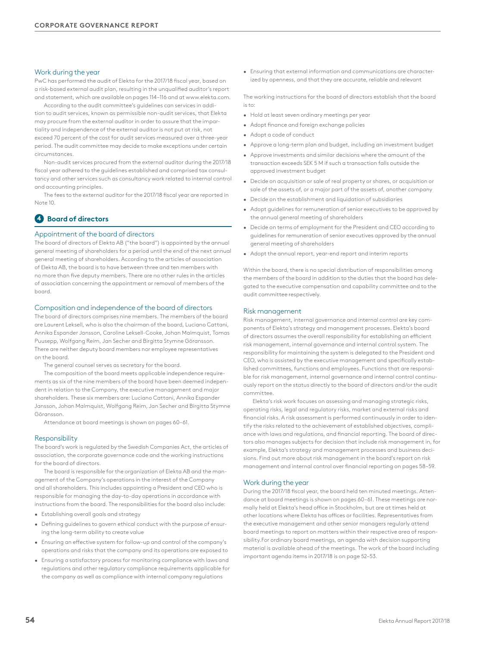## Work during the year

PwC has performed the audit of Elekta for the 2017/18 fiscal year, based on a risk-based external audit plan, resulting in the unqualified auditor's report and statement, which are available on pages 114–116 and at www.elekta.com.

According to the audit committee's guidelines can services in addition to audit services, known as permissible non-audit services, that Elekta may procure from the external auditor in order to assure that the impartiality and independence of the external auditor is not put at risk, not exceed 70 percent of the cost for audit services measured over a three-year period. The audit committee may decide to make exceptions under certain circumstances.

Non-audit services procured from the external auditor during the 2017/18 fiscal year adhered to the guidelines established and comprised tax consultancy and other services such as consultancy work related to internal control and accounting principles.

The fees to the external auditor for the 2017/18 fiscal year are reported in Note 10.

## **4 Board of directors**

#### Appointment of the board of directors

The board of directors of Elekta AB ("the board") is appointed by the annual general meeting of shareholders for a period until the end of the next annual general meeting of shareholders. According to the articles of association of Elekta AB, the board is to have between three and ten members with no more than five deputy members. There are no other rules in the articles of association concerning the appointment or removal of members of the board.

#### Composition and independence of the board of directors

The board of directors comprises nine members. The members of the board are Laurent Leksell, who is also the chairman of the board, Luciano Cattani, Annika Espander Jansson, Caroline Leksell-Cooke, Johan Malmquist, Tomas Puusepp, Wolfgang Reim, Jan Secher and Birgitta Stymne Göransson. There are neither deputy board members nor employee representatives on the board.

The general counsel serves as secretary for the board.

The composition of the board meets applicable independence requirements as six of the nine members of the board have been deemed independent in relation to the Company, the executive management and major shareholders. These six members are: Luciano Cattani, Annika Espander Jansson, Johan Malmquist, Wolfgang Reim, Jan Secher and Birgitta Stymne Göransson.

Attendance at board meetings is shown on pages 60–61.

#### Responsibility

The board's work is regulated by the Swedish Companies Act, the articles of association, the corporate governance code and the working instructions for the board of directors.

The board is responsible for the organization of Elekta AB and the management of the Company's operations in the interest of the Company and all shareholders. This includes appointing a President and CEO who is responsible for managing the day-to-day operations in accordance with instructions from the board. The responsibilities for the board also include:

- Establishing overall goals and strategy
- Defining guidelines to govern ethical conduct with the purpose of ensuring the long-term ability to create value
- Ensuring an effective system for follow-up and control of the company's operations and risks that the company and its operations are exposed to
- Ensuring a satisfactory process for monitoring compliance with laws and regulations and other regulatory compliance requirements applicable for the company as well as compliance with internal company regulations

• Ensuring that external information and communications are characterized by openness, and that they are accurate, reliable and relevant

The working instructions for the board of directors establish that the board  $i \in +\infty$ 

- Hold at least seven ordinary meetings per year
- Adopt finance and foreign exchange policies
- Adopt a code of conduct
- Approve a long-term plan and budget, including an investment budget
- Approve investments and similar decisions where the amount of the transaction exceeds SEK 5 M if such a transaction falls outside the approved investment budget
- Decide on acquisition or sale of real property or shares, or acquisition or sale of the assets of, or a major part of the assets of, another company
- Decide on the establishment and liquidation of subsidiaries
- Adopt guidelines for remuneration of senior executives to be approved by the annual general meeting of shareholders
- Decide on terms of employment for the President and CEO according to guidelines for remuneration of senior executives approved by the annual general meeting of shareholders
- Adopt the annual report, year-end report and interim reports

Within the board, there is no special distribution of responsibilities among the members of the board in addition to the duties that the board has delegated to the executive compensation and capability committee and to the audit committee respectively.

#### Risk management

Risk management, internal governance and internal control are key components of Elekta's strategy and management processes. Elekta's board of directors assumes the overall responsibility for establishing an efficient risk management, internal governance and internal control system. The responsibility for maintaining the system is delegated to the President and CEO, who is assisted by the executive management and specifically established committees, functions and employees. Functions that are responsible for risk management, internal governance and internal control continuously report on the status directly to the board of directors and/or the audit committee.

Elekta's risk work focuses on assessing and managing strategic risks, operating risks, legal and regulatory risks, market and external risks and financial risks. A risk assessment is performed continuously in order to identify the risks related to the achievement of established objectives, compliance with laws and regulations, and financial reporting. The board of directors also manages subjects for decision that include risk management in, for example, Elekta's strategy and management processes and business decisions. Find out more about risk management in the board's report on risk management and internal control over financial reporting on pages 58–59.

#### Work during the year

During the 2017/18 fiscal year, the board held ten minuted meetings. Attendance at board meetings is shown on pages 60–61. These meetings are normally held at Elekta's head office in Stockholm, but are at times held at other locations where Elekta has offices or facilities. Representatives from the executive management and other senior managers regularly attend board meetings to report on matters within their respective area of responsibility.For ordinary board meetings, an agenda with decision supporting material is available ahead of the meetings. The work of the board including important agenda items in 2017/18 is on page 52–53.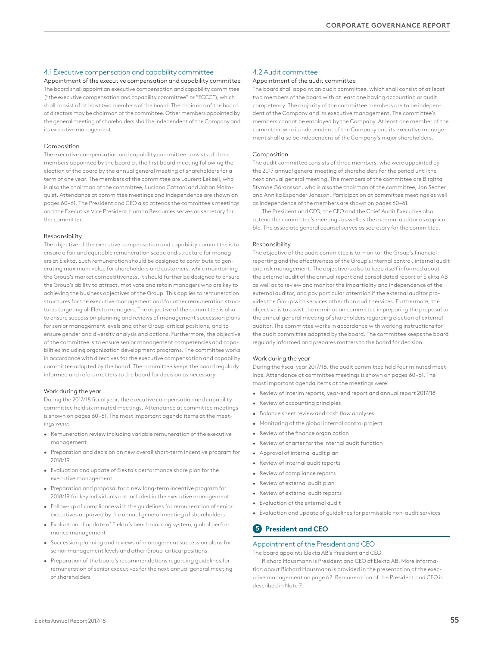## 4.1 Executive compensation and capability committee

Appointment of the executive compensation and capability committee The board shall appoint an executive compensation and capability committee ("the executive compensation and capability committee" or "ECCC"), which shall consist of at least two members of the board. The chairman of the board of directors may be chairman of the committee. Other members appointed by the general meeting of shareholders shall be independent of the Company and its executive management.

#### Composition

The executive compensation and capability committee consists of three members appointed by the board at the first board meeting following the election of the board by the annual general meeting of shareholders for a term of one year. The members of the committee are Laurent Leksell, who is also the chairman of the committee, Luciano Cattani and Johan Malmquist. Attendance at committee meetings and independence are shown on pages 60–61. The President and CEO also attends the committee's meetings and the Executive Vice President Human Resources serves as secretary for the committee.

#### Responsibility

The objective of the executive compensation and capability committee is to ensure a fair and equitable remuneration scope and structure for managers at Elekta. Such remuneration should be designed to contribute to generating maximum value for shareholders and customers, while maintaining the Group's market competitiveness. It should further be designed to ensure the Group's ability to attract, motivate and retain managers who are key to achieving the business objectives of the Group. This applies to remuneration structures for the executive management and for other remuneration structures targeting all Elekta managers. The objective of the committee is also to ensure succession planning and reviews of management succession plans for senior management levels and other Group-critical positions, and to ensure gender and diversity analysis and actions. Furthermore, the objective of the committee is to ensure senior management competencies and capabilities including organization development programs. The committee works in accordance with directives for the executive compensation and capability committee adopted by the board. The committee keeps the board regularly informed and refers matters to the board for decision as necessary.

#### Work during the year

During the 2017/18 fiscal year, the executive compensation and capability committee held six minuted meetings. Attendance at committee meetings is shown on pages 60–61. The most important agenda items at the meetings were:

- Remuneration review including variable remuneration of the executive management
- Preparation and decision on new overall short-term incentive program for 2018/19
- Evaluation and update of Elekta's performance share plan for the executive management
- Preparation and proposal for a new long-term incentive program for 2018/19 for key individuals not included in the executive management
- Follow-up of compliance with the guidelines for remuneration of senior executives approved by the annual general meeting of shareholders
- Evaluation of update of Elekta's benchmarking system, global performance management
- Succession planning and reviews of management succession plans for senior management levels and other Group-critical positions
- Preparation of the board's recommendations regarding guidelines for remuneration of senior executives for the next annual general meeting of shareholders

## 4.2 Audit committee

#### Appointment of the audit committee

The board shall appoint an audit committee, which shall consist of at least two members of the board with at least one having accounting or audit competency. The majority of the committee members are to be independent of the Company and its executive management. The committee's members cannot be employed by the Company. At least one member of the committee who is independent of the Company and its executive management shall also be independent of the Company's major shareholders.

#### Composition

The audit committee consists of three members, who were appointed by the 2017 annual general meeting of shareholders for the period until the next annual general meeting. The members of the committee are Birgitta Stymne Göransson, who is also the chairman of the committee, Jan Secher and Annika Espander Jansson. Participation at committee meetings as well as independence of the members are shown on pages 60–61.

The President and CEO, the CFO and the Chief Audit Executive also attend the committee's meetings as well as the external auditor as applicable. The associate general counsel serves as secretary for the committee.

#### Responsibility

The objective of the audit committee is to monitor the Group's financial reporting and the effectiveness of the Group's internal control, internal audit and risk management. The objective is also to keep itself informed about the external audit of the annual report and consolidated report of Elekta AB as well as to review and monitor the impartiality and independence of the external auditor, and pay particular attention if the external auditor provides the Group with services other than audit services. Furthermore, the objective is to assist the nomination committee in preparing the proposal to the annual general meeting of shareholders regarding election of external auditor. The committee works in accordance with working instructions for the audit committee adopted by the board. The committee keeps the board regularly informed and prepares matters to the board for decision.

#### Work during the year

During the fiscal year 2017/18, the audit committee held four minuted meetings. Attendance at committee meetings is shown on pages 60–61. The most important agenda items at the meetings were:

- Review of interim reports, year-end report and annual report 2017/18
- Review of accounting principles
- Balance sheet review and cash flow analyses
- Monitoring of the global internal control project
- Review of the finance organization
- Review of charter for the internal audit function
- Approval of internal audit plan
- Review of internal audit reports
- Review of compliance reports
- Review of external audit plan
- Review of external audit reports
- Evaluation of the external audit
- Evaluation and update of guidelines for permissible non-audit services

## **5 President and CEO**

### Appointment of the President and CEO

The board appoints Elekta AB's President and CEO.

Richard Hausmann is President and CEO of Elekta AB. More information about Richard Hausmann is provided in the presentation of the executive management on page 62. Remuneration of the President and CEO is described in Note 7.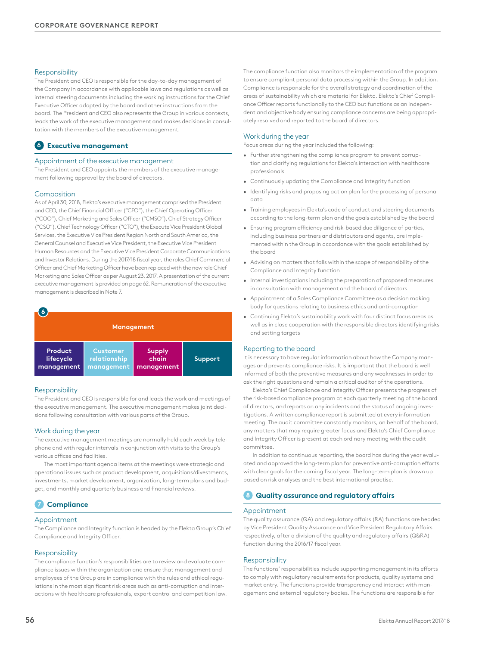#### Responsibility

The President and CEO is responsible for the day-to-day management of the Company in accordance with applicable laws and regulations as well as internal steering documents including the working instructions for the Chief Executive Officer adopted by the board and other instructions from the board. The President and CEO also represents the Group in various contexts, leads the work of the executive management and makes decisions in consultation with the members of the executive management.

## **6 Executive management**

#### Appointment of the executive management

The President and CEO appoints the members of the executive management following approval by the board of directors.

#### Composition

As of April 30, 2018, Elekta's executive management comprised the President and CEO, the Chief Financial Officer ("CFO"), the Chief Operating Officer ("COO"), Chief Marketing and Sales Officer ("CMSO"), Chief Strategy Officer ("CSO"), Chief Technology Officer ("CTO"), the Execute Vice President Global Services, the Executive Vice President Region North and South America, the General Counsel and Executive Vice President, the Executive Vice President Human Resources and the Executive Vice President Corporate Communications and Investor Relations. During the 2017/18 fiscal year, the roles Chief Commercial Officer and Chief Marketing Officer have been replaced with the new role Chief Marketing and Sales Officer as per August 23, 2017. A presentation of the current executive management is provided on page 62. Remuneration of the executive management is described in Note 7.

| Management |                 |               |         |  |  |  |  |  |  |
|------------|-----------------|---------------|---------|--|--|--|--|--|--|
| Product    | <b>Customer</b> | <b>Supply</b> | Support |  |  |  |  |  |  |
| lifecycle  | relationship    | chain         |         |  |  |  |  |  |  |
| management | management      | management    |         |  |  |  |  |  |  |

#### Responsibility

The President and CEO is responsible for and leads the work and meetings of the executive management. The executive management makes joint decisions following consultation with various parts of the Group.

#### Work during the year

The executive management meetings are normally held each week by telephone and with regular intervals in conjunction with visits to the Group's various offices and facilities.

The most important agenda items at the meetings were strategic and operational issues such as product development, acquisitions/divestments, investments, market development, organization, long-term plans and budget, and monthly and quarterly business and financial reviews.

## **7 Compliance**

#### Appointment

The Compliance and Integrity function is headed by the Elekta Group's Chief Compliance and Integrity Officer.

#### Responsibility

The compliance function's responsibilities are to review and evaluate compliance issues within the organization and ensure that management and employees of the Group are in compliance with the rules and ethical regulations in the most significant risk areas such as anti-corruption and interactions with healthcare professionals, export control and competition law. The compliance function also monitors the implementation of the program to ensure compliant personal data processing within the Group. In addition, Compliance is responsible for the overall strategy and coordination of the areas of sustainability which are material for Elekta. Elekta's Chief Compliance Officer reports functionally to the CEO but functions as an independent and objective body ensuring compliance concerns are being appropriately resolved and reported to the board of directors.

#### Work during the year

Focus areas during the year included the following:

- Further strengthening the compliance program to prevent corruption and clarifying regulations for Elekta's interaction with healthcare professionals
- Continuously updating the Compliance and Integrity function
- Identifying risks and proposing action plan for the processing of personal data
- Training employees in Elekta's code of conduct and steering documents according to the long-term plan and the goals established by the board
- Ensuring program efficiency and risk-based due diligence of parties, including business partners and distributors and agents, are implemented within the Group in accordance with the goals established by the board
- Advising on matters that falls within the scope of responsibility of the Compliance and Integrity function
- Internal investigations including the preparation of proposed measures in consultation with management and the board of directors
- Appointment of a Sales Compliance Committee as a decision making body for questions relating to business ethics and anti-corruption
- Continuing Elekta's sustainability work with four distinct focus areas as well as in close cooperation with the responsible directors identifying risks and setting targets

#### Reporting to the board

It is necessary to have regular information about how the Company manages and prevents compliance risks. It is important that the board is well informed of both the preventive measures and any weaknesses in order to ask the right questions and remain a critical auditor of the operations.

Elekta's Chief Compliance and Integrity Officer presents the progress of the risk-based compliance program at each quarterly meeting of the board of directors, and reports on any incidents and the status of ongoing investigations. A written compliance report is submitted at every information meeting. The audit committee constantly monitors, on behalf of the board, any matters that may require greater focus and Elekta's Chief Compliance and Integrity Officer is present at each ordinary meeting with the audit committee.

In addition to continuous reporting, the board has during the year evaluated and approved the long-term plan for preventive anti-corruption efforts with clear goals for the coming fiscal year. The long-term plan is drawn up based on risk analyses and the best international practise.

## **8 Quality assurance and regulatory affairs**

#### Appointment

The quality assurance (QA) and regulatory affairs (RA) functions are headed by Vice President Quality Assurance and Vice President Regulatory Affairs respectively, after a division of the quality and regulatory affairs (Q&RA) function during the 2016/17 fiscal year.

#### Responsibility

The functions' responsibilities include supporting management in its efforts to comply with regulatory requirements for products, quality systems and market entry. The functions provide transparency and interact with management and external regulatory bodies. The functions are responsible for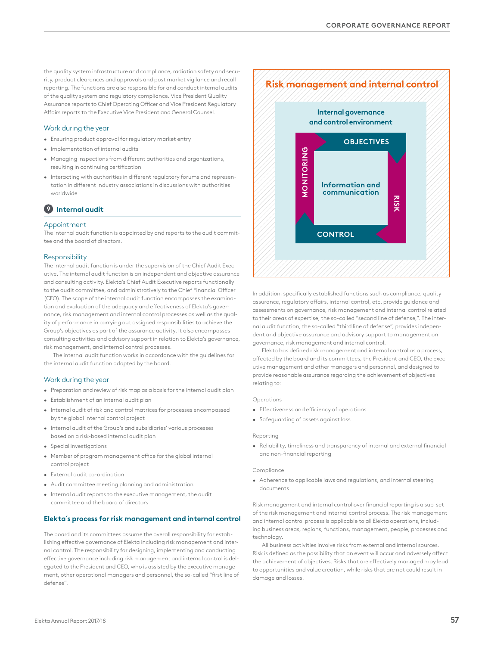the quality system infrastructure and compliance, radiation safety and security, product clearances and approvals and post market vigilance and recall reporting. The functions are also responsible for and conduct internal audits of the quality system and regulatory compliance. Vice President Quality Assurance reports to Chief Operating Officer and Vice President Regulatory Affairs reports to the Executive Vice President and General Counsel.

## Work during the year

- Ensuring product approval for regulatory market entry
- Implementation of internal audits
- Managing inspections from different authorities and organizations, resulting in continuing certification
- Interacting with authorities in different regulatory forums and representation in different industry associations in discussions with authorities worldwide

## **9 Internal audit**

#### Appointment

The internal audit function is appointed by and reports to the audit committee and the board of directors.

#### Responsibility

The internal audit function is under the supervision of the Chief Audit Executive. The internal audit function is an independent and objective assurance and consulting activity. Elekta's Chief Audit Executive reports functionally to the audit committee, and administratively to the Chief Financial Officer (CFO). The scope of the internal audit function encompasses the examination and evaluation of the adequacy and effectiveness of Elekta's governance, risk management and internal control processes as well as the quality of performance in carrying out assigned responsibilities to achieve the Group's objectives as part of the assurance activity. It also encompasses consulting activities and advisory support in relation to Elekta's governance, risk management, and internal control processes.

The internal audit function works in accordance with the guidelines for the internal audit function adopted by the board.

### Work during the year

- Preparation and review of risk map as a basis for the internal audit plan
- Establishment of an internal audit plan
- Internal audit of risk and control matrices for processes encompassed by the global internal control project
- Internal audit of the Group's and subsidiaries' various processes based on a risk-based internal audit plan
- Special investigations
- Member of program management office for the global internal control project
- External audit co-ordination
- Audit committee meeting planning and administration
- Internal audit reports to the executive management, the audit committee and the board of directors

### **Elekta´s process for risk management and internal control**

The board and its committees assume the overall responsibility for establishing effective governance of Elekta including risk management and internal control. The responsibility for designing, implementing and conducting effective governance including risk management and internal control is delegated to the President and CEO, who is assisted by the executive management, other operational managers and personnel, the so-called "first line of defense".



In addition, specifically established functions such as compliance, quality assurance, regulatory affairs, internal control, etc. provide guidance and assessments on governance, risk management and internal control related to their areas of expertise, the so-called "second line of defense,". The internal audit function, the so-called "third line of defense", provides independent and objective assurance and advisory support to management on governance, risk management and internal control.

Elekta has defined risk management and internal control as a process, affected by the board and its committees, the President and CEO, the executive management and other managers and personnel, and designed to provide reasonable assurance regarding the achievement of objectives relating to:

#### Operations

- Effectiveness and efficiency of operations
- Safeguarding of assets against loss

#### Reporting

• Reliability, timeliness and transparency of internal and external financial and non-financial reporting

#### **Compliance**

• Adherence to applicable laws and regulations, and internal steering documents

Risk management and internal control over financial reporting is a sub-set of the risk management and internal control process. The risk management and internal control process is applicable to all Elekta operations, including business areas, regions, functions, management, people, processes and technology.

All business activities involve risks from external and internal sources. Risk is defined as the possibility that an event will occur and adversely affect the achievement of objectives. Risks that are effectively managed may lead to opportunities and value creation, while risks that are not could result in damage and losses.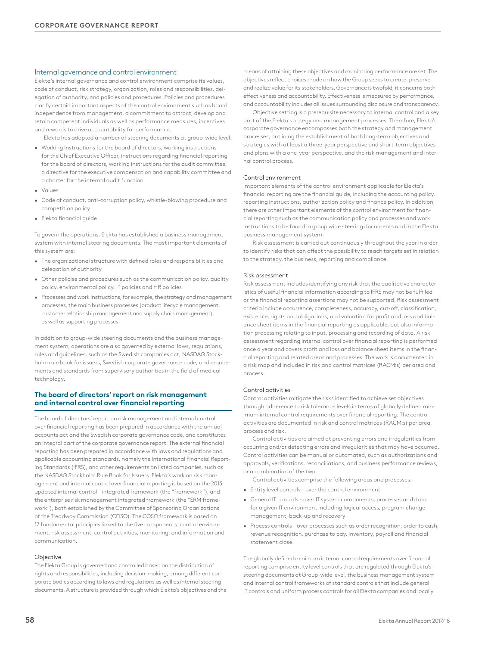#### Internal governance and control environment

Elekta's internal governance and control environment comprise its values, code of conduct, risk strategy, organization, roles and responsibilities, delegation of authority, and policies and procedures. Policies and procedures clarify certain important aspects of the control environment such as board independence from management, a commitment to attract, develop and retain competent individuals as well as performance measures, incentives and rewards to drive accountability for performance.

Elekta has adopted a number of steering documents at group-wide level:

- Working Instructions for the board of directors, working instructions for the Chief Executive Officer, instructions regarding financial reporting for the board of directors, working instructions for the audit committee, a directive for the executive compensation and capability committee and a charter for the internal audit function
- Values
- Code of conduct, anti-corruption policy, whistle-blowing procedure and competition policy
- Elekta financial guide

To govern the operations, Elekta has established a business management system with internal steering documents. The most important elements of this system are:

- The organizational structure with defined roles and responsibilities and delegation of authority
- Other policies and procedures such as the communication policy, quality policy, environmental policy, IT policies and HR policies
- Processes and work instructions, for example, the strategy and management processes, the main business processes (product lifecycle management, customer relationship management and supply chain management), as well as supporting processes

In addition to group-wide steering documents and the business management system, operations are also governed by external laws, regulations, rules and guidelines, such as the Swedish companies act, NASDAQ Stockholm rule book for issuers, Swedish corporate governance code, and requirements and standards from supervisory authorities in the field of medical technology.

## **The board of directors' report on risk management and internal control over financial reporting**

The board of directors' report on risk management and internal control over financial reporting has been prepared in accordance with the annual accounts act and the Swedish corporate governance code, and constitutes an integral part of the corporate governance report. The external financial reporting has been prepared in accordance with laws and regulations and applicable accounting standards, namely the International Financial Reporting Standards (IFRS), and other requirements on listed companies, such as the NASDAQ Stockholm Rule Book for Issuers. Elekta's work on risk management and internal control over financial reporting is based on the 2013 updated internal control – integrated framework (the "framework"), and the enterprise risk management integrated framework (the "ERM framework"), both established by the Committee of Sponsoring Organizations of the Treadway Commission (COSO). The COSO framework is based on 17 fundamental principles linked to the five components: control environment, risk assessment, control activities, monitoring, and information and communication.

#### Objective

The Elekta Group is governed and controlled based on the distribution of rights and responsibilities, including decision-making, among different corporate bodies according to laws and regulations as well as internal steering documents. A structure is provided through which Elekta's objectives and the means of attaining these objectives and monitoring performance are set. The objectives reflect choices made on how the Group seeks to create, preserve and realize value for its stakeholders. Governance is twofold; it concerns both effectiveness and accountability. Effectiveness is measured by performance, and accountability includes all issues surrounding disclosure and transparency.

Objective setting is a prerequisite necessary to internal control and a key part of the Elekta strategy and management processes. Therefore, Elekta's corporate governance encompasses both the strategy and management processes, outlining the establishment of both long-term objectives and strategies with at least a three-year perspective and short-term objectives and plans with a one-year perspective, and the risk management and internal control process.

#### Control environment

Important elements of the control environment applicable for Elekta's financial reporting are the financial guide, including the accounting policy, reporting instructions, authorization policy and finance policy. In addition, there are other important elements of the control environment for financial reporting such as the communication policy and processes and work instructions to be found in group wide steering documents and in the Elekta business management system.

Risk assessment is carried out continuously throughout the year in order to identify risks that can affect the possibility to reach targets set in relation to the strategy, the business, reporting and compliance.

#### Risk assessment

Risk assessment includes identifying any risk that the qualitative characteristics of useful financial information according to IFRS may not be fulfilled or the financial reporting assertions may not be supported. Risk assessment criteria include occurrence, completeness, accuracy, cut-off, classification, existence, rights and obligations, and valuation for profit and loss and balance sheet items in the financial reporting as applicable, but also information processing relating to input, processing and recording of data. A risk assessment regarding internal control over financial reporting is performed once a year and covers profit and loss and balance sheet items in the financial reporting and related areas and processes. The work is documented in a risk map and included in risk and control matrices (RACM:s) per area and process.

#### Control activities

Control activities mitigate the risks identified to achieve set objectives through adherence to risk tolerance levels in terms of globally defined minimum internal control requirements over financial reporting. The control activities are documented in risk and control matrices (RACM:s) per area, process and risk.

Control activities are aimed at preventing errors and irregularities from occurring and/or detecting errors and irregularities that may have occurred. Control activities can be manual or automated, such as authorizations and approvals, verifications, reconciliations, and business performance reviews, or a combination of the two.

Control activities comprise the following areas and processes:

- Entity level controls over the control environment
- General IT controls over IT system components, processes and data for a given IT environment including logical access, program change management, back-up and recovery
- Process controls over processes such as order recognition, order to cash, revenue recognition, purchase to pay, inventory, payroll and financial statement close.

The globally defined minimum internal control requirements over financial reporting comprise entity level controls that are regulated through Elekta's steering documents at Group-wide level, the business management system and internal control frameworks of standard controls that include general IT controls and uniform process controls for all Elekta companies and locally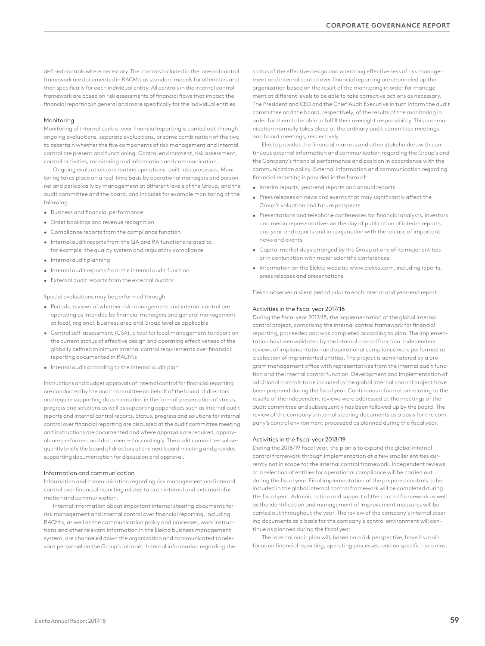defined controls where necessary. The controls included in the internal control framework are documented in RACM:s as standard models for all entities and then specifically for each individual entity. All controls in the internal control framework are based on risk assessments of financial flows that impact the financial reporting in general and more specifically for the individual entities.

#### Monitoring

Monitoring of internal control over financial reporting is carried out through ongoing evaluations, separate evaluations, or some combination of the two, to ascertain whether the five components of risk management and internal control are present and functioning. Control environment, risk assessment, control activities, monitoring and information and communication.

Ongoing evaluations are routine operations, built into processes. Monitoring takes place on a real-time basis by operational managers and personnel and periodically by management at different levels of the Group, and the audit committee and the board, and includes for example monitoring of the following:

- Business and financial performance
- Order bookings and revenue recognition
- Compliance reports from the compliance function
- Internal audit reports from the QA and RA functions related to, for example, the quality system and regulatory compliance
- Internal audit planning
- Internal audit reports from the internal audit function
- External audit reports from the external auditor

Special evaluations may be performed through:

- Periodic reviews of whether risk management and internal control are operating as intended by financial managers and general management at local, regional, business area and Group level as applicable
- Control self-assessment (CSA), a tool for local management to report on the current status of effective design and operating effectiveness of the globally defined minimum internal control requirements over financial reporting documented in RACM:s
- Internal audit according to the internal audit plan

Instructions and budget approvals of internal control for financial reporting are conducted by the audit committee on behalf of the board of directors and require supporting documentation in the form of presentation of status, progress and solutions as well as supporting appendices such as Internal audit reports and internal control reports. Status, progress and solutions for internal control over financial reporting are discussed at the audit committee meeting and instructions are documented and where approvals are required, approvals are performed and documented accordingly. The audit committee subsequently briefs the board of directors at the next board meeting and provides supporting documentation for discussion and approval.

#### Information and communication

Information and communication regarding risk management and internal control over financial reporting relates to both internal and external information and communication.

Internal information about important internal steering documents for risk management and internal control over financial reporting, including RACM:s, as well as the communication policy and processes, work instructions and other relevant information in the Elekta business management system, are channeled down the organization and communicated to relevant personnel on the Group's intranet. Internal information regarding the status of the effective design and operating effectiveness of risk management and internal control over financial reporting are channeled up the organization based on the result of the monitoring in order for management at different levels to be able to take corrective actions as necessary. The President and CEO and the Chief Audit Executive in turn inform the audit committee and the board, respectively, of the results of the monitoring in order for them to be able to fulfill their oversight responsibility. This communication normally takes place at the ordinary audit committee meetings and board meetings, respectively.

Elekta provides the financial markets and other stakeholders with continuous external information and communication regarding the Group's and the Company's financial performance and position in accordance with the communication policy. External information and communication regarding financial reporting is provided in the form of:

- Interim reports, year-end reports and annual reports
- Press releases on news and events that may significantly affect the Group's valuation and future prospects
- Presentations and telephone conferences for financial analysts, investors and media representatives on the day of publication of interim reports and year-end reports and in conjunction with the release of important news and events
- Capital market days arranged by the Group at one of its major entities or in conjunction with major scientific conferences
- Information on the Elekta website: www.elekta.com, including reports, press releases and presentations

Elekta observes a silent period prior to each interim and year-end report.

#### Activities in the fiscal year 2017/18

During the fiscal year 2017/18, the implementation of the global internal control project, comprising the internal control framework for financial reporting, proceeded and was completed according to plan. The implementation has been validated by the internal control function. Independent reviews of implementation and operational compliance were performed at a selection of implemented entities. The project is administered by a program management office with representatives from the internal audit function and the internal control function. Development and implementation of additional controls to be included in the global internal control project have been prepared during the fiscal year. Continuous information relating to the results of the independent reviews were addressed at the meetings of the audit committee and subsequently has been followed up by the board. The review of the company's internal steering documents as a basis for the company's control environment proceeded as planned during the fiscal year.

#### Activities in the fiscal year 2018/19

During the 2018/19 fiscal year, the plan is to expand the global internal control framework through implementation at a few smaller entities currently not in scope for the internal control framework. Independent reviews at a selection of entities for operational compliance will be carried out during the fiscal year. Final implementation of the prepared controls to be included in the global internal control framework will be completed during the fiscal year. Administration and support of the control framework as well as the identification and management of improvement measures will be carried out throughout the year. The review of the company's internal steering documents as a basis for the company's control environment will continue as planned during the fiscal year.

The internal audit plan will, based on a risk perspective, have its main focus on financial reporting, operating processes, and on specific risk areas.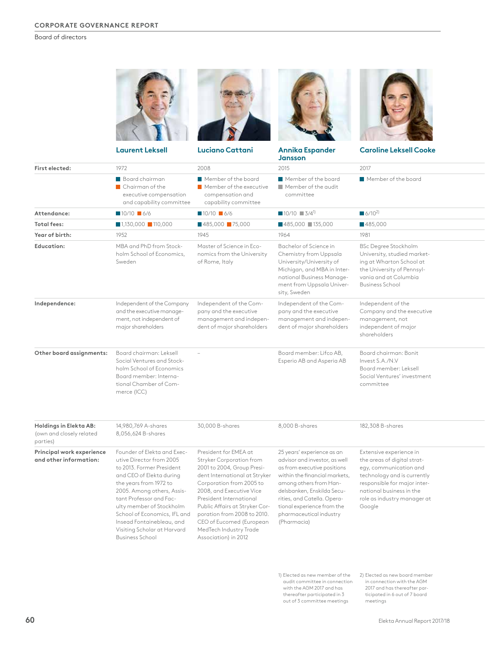Board of directors

|                                                                | <b>Laurent Leksell</b>                                                                                                                                                                                                                                                                                                      | Luciano Cattani                                                                                                                                                                                                                                                                                                            | <b>Annika Espander</b><br>Jansson                                                                                                                                                                                                                                                          | <b>Caroline Leksell Cooke</b>                                                                                                                                                                                        |  |
|----------------------------------------------------------------|-----------------------------------------------------------------------------------------------------------------------------------------------------------------------------------------------------------------------------------------------------------------------------------------------------------------------------|----------------------------------------------------------------------------------------------------------------------------------------------------------------------------------------------------------------------------------------------------------------------------------------------------------------------------|--------------------------------------------------------------------------------------------------------------------------------------------------------------------------------------------------------------------------------------------------------------------------------------------|----------------------------------------------------------------------------------------------------------------------------------------------------------------------------------------------------------------------|--|
| First elected:                                                 | 1972                                                                                                                                                                                                                                                                                                                        | 2008                                                                                                                                                                                                                                                                                                                       | 2015                                                                                                                                                                                                                                                                                       | 2017                                                                                                                                                                                                                 |  |
|                                                                | Board chairman<br>Chairman of the<br>executive compensation<br>and capability committee                                                                                                                                                                                                                                     | Member of the board<br>Member of the executive<br>compensation and<br>capability committee                                                                                                                                                                                                                                 | Member of the board<br>Member of the audit<br>committee                                                                                                                                                                                                                                    | Member of the board                                                                                                                                                                                                  |  |
| Attendance:                                                    | $10/10$ 6/6                                                                                                                                                                                                                                                                                                                 | $10/10$ 6/6                                                                                                                                                                                                                                                                                                                | $10/10$ 3/4 <sup>1</sup>                                                                                                                                                                                                                                                                   | $6/10^{2}$                                                                                                                                                                                                           |  |
| <b>Total fees:</b>                                             | $1,130,000$ 110,000                                                                                                                                                                                                                                                                                                         | 485,000 75,000                                                                                                                                                                                                                                                                                                             | ■485,000 ■135,000                                                                                                                                                                                                                                                                          | ■485,000                                                                                                                                                                                                             |  |
| Year of birth:                                                 | 1952                                                                                                                                                                                                                                                                                                                        | 1945                                                                                                                                                                                                                                                                                                                       | 1964                                                                                                                                                                                                                                                                                       | 1981                                                                                                                                                                                                                 |  |
| Education:                                                     | MBA and PhD from Stock-<br>holm School of Economics,<br>Sweden                                                                                                                                                                                                                                                              | Master of Science in Eco-<br>nomics from the University<br>of Rome, Italy                                                                                                                                                                                                                                                  | Bachelor of Science in<br>Chemistry from Uppsala<br>University/University of<br>Michigan, and MBA in Inter-<br>national Business Manage-<br>ment from Uppsala Univer-<br>sity, Sweden                                                                                                      | <b>BSc Degree Stockholm</b><br>University, studied market-<br>ing at Wharton School at<br>the University of Pennsyl-<br>vania and at Columbia<br><b>Business School</b>                                              |  |
| Independence:                                                  | Independent of the Company<br>and the executive manage-<br>ment, not independent of<br>major shareholders                                                                                                                                                                                                                   | Independent of the Com-<br>pany and the executive<br>management and indepen-<br>dent of major shareholders                                                                                                                                                                                                                 | Independent of the Com-<br>pany and the executive<br>management and indepen-<br>dent of major shareholders                                                                                                                                                                                 | Independent of the<br>Company and the executive<br>management, not<br>independent of major<br>shareholders                                                                                                           |  |
| Other board assignments:                                       | Board chairman: Leksell<br>Social Ventures and Stock-<br>holm School of Economics<br>Board member: Interna-<br>tional Chamber of Com-<br>merce (ICC)                                                                                                                                                                        |                                                                                                                                                                                                                                                                                                                            | Board member: Lifco AB,<br>Esperio AB and Asperia AB                                                                                                                                                                                                                                       | Board chairman: Bonit<br>Invest S.A./N.V<br>Board member: Leksell<br>Social Ventures' investment<br>committee                                                                                                        |  |
| Holdings in Elekta AB:<br>(own and closely related<br>parties) | 14,980,769 A-shares<br>8,056,624 B-shares                                                                                                                                                                                                                                                                                   | 30,000 B-shares                                                                                                                                                                                                                                                                                                            | 8,000 B-shares                                                                                                                                                                                                                                                                             | 182,308 B-shares                                                                                                                                                                                                     |  |
| Principal work experience<br>and other information:            | Founder of Elekta and Exec-<br>utive Director from 2005<br>to 2013. Former President<br>and CEO of Elekta during<br>the years from 1972 to<br>2005. Among others, Assis-<br>tant Professor and Fac-<br>ulty member of Stockholm<br>School of Economics, IFL and<br>Insead Fontainebleau, and<br>Visiting Scholar at Harvard | President for EMEA at<br>Stryker Corporation from<br>2001 to 2004, Group Presi-<br>dent International at Stryker<br>Corporation from 2005 to<br>2008, and Executive Vice<br>President International<br>Public Affairs at Stryker Cor-<br>poration from 2008 to 2010.<br>CEO of Eucomed (European<br>MedTech Industry Trade | 25 years' experience as an<br>advisor and investor, as well<br>as from executive positions<br>within the financial markets,<br>among others from Han-<br>delsbanken, Enskilda Secu-<br>rities, and Catella. Opera-<br>tional experience from the<br>pharmaceutical industry<br>(Pharmacia) | Extensive experience in<br>the areas of digital strat-<br>egy, communication and<br>technology and is currently<br>responsible for major inter-<br>national business in the<br>role as industry manager at<br>Google |  |

1) Elected as new member of the 2) Elected as new board member audit committee in connection with the AGM 2017 and has thereafter participated in 3 out of 3 committee meetings

in connection with the AGM 2017 and has thereafter participated in 6 out of 7 board meetings

Business School

Association) in 2012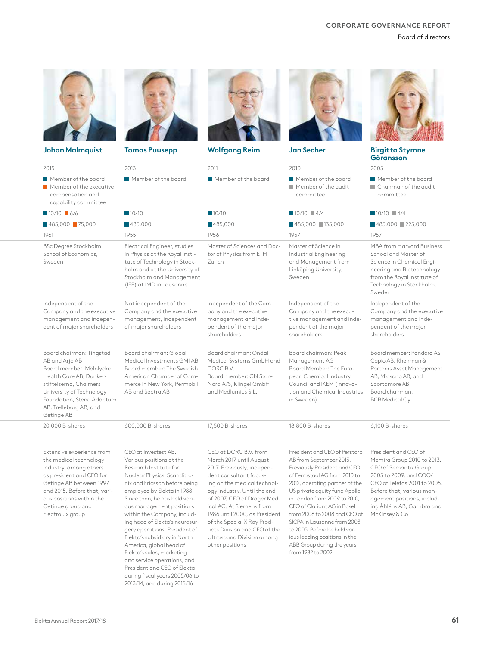Board of directors

| <b>Johan Malmquist</b>                                                                                                                                                                                                                    | <b>Tomas Puusepp</b>                                                                                                                                                                                                                                                                                                                                                                                                                                                                                                             | <b>Wolfgang Reim</b>                                                                                                                                                                                                                                                                                                                                                             | <b>Jan Secher</b>                                                                                                                                                                                                                                                                                                                                                                                                                                            | <b>Birgitta Stymne</b><br>Göransson                                                                                                                                                                                           |
|-------------------------------------------------------------------------------------------------------------------------------------------------------------------------------------------------------------------------------------------|----------------------------------------------------------------------------------------------------------------------------------------------------------------------------------------------------------------------------------------------------------------------------------------------------------------------------------------------------------------------------------------------------------------------------------------------------------------------------------------------------------------------------------|----------------------------------------------------------------------------------------------------------------------------------------------------------------------------------------------------------------------------------------------------------------------------------------------------------------------------------------------------------------------------------|--------------------------------------------------------------------------------------------------------------------------------------------------------------------------------------------------------------------------------------------------------------------------------------------------------------------------------------------------------------------------------------------------------------------------------------------------------------|-------------------------------------------------------------------------------------------------------------------------------------------------------------------------------------------------------------------------------|
| 2015                                                                                                                                                                                                                                      | 2013                                                                                                                                                                                                                                                                                                                                                                                                                                                                                                                             | 2011                                                                                                                                                                                                                                                                                                                                                                             | 2010                                                                                                                                                                                                                                                                                                                                                                                                                                                         | 2005                                                                                                                                                                                                                          |
| Member of the board<br>Member of the executive<br>compensation and<br>capability committee                                                                                                                                                | Member of the board                                                                                                                                                                                                                                                                                                                                                                                                                                                                                                              | Member of the board                                                                                                                                                                                                                                                                                                                                                              | Member of the board<br>Member of the audit<br>committee                                                                                                                                                                                                                                                                                                                                                                                                      | Member of the board<br>Chairman of the audit<br>committee                                                                                                                                                                     |
| $10/10$ 6/6                                                                                                                                                                                                                               | ■10/10                                                                                                                                                                                                                                                                                                                                                                                                                                                                                                                           | 10/10                                                                                                                                                                                                                                                                                                                                                                            | $10/10$ 4/4                                                                                                                                                                                                                                                                                                                                                                                                                                                  | $10/10$ $4/4$                                                                                                                                                                                                                 |
| 485,000 75,000                                                                                                                                                                                                                            | ■485,000                                                                                                                                                                                                                                                                                                                                                                                                                                                                                                                         | 485,000                                                                                                                                                                                                                                                                                                                                                                          | ■485,000 ■135,000                                                                                                                                                                                                                                                                                                                                                                                                                                            | ■485,000 ■225,000                                                                                                                                                                                                             |
| 1961                                                                                                                                                                                                                                      | 1955                                                                                                                                                                                                                                                                                                                                                                                                                                                                                                                             | 1956                                                                                                                                                                                                                                                                                                                                                                             | 1957                                                                                                                                                                                                                                                                                                                                                                                                                                                         | 1957                                                                                                                                                                                                                          |
| <b>BSc Degree Stockholm</b><br>School of Economics,<br>Sweden                                                                                                                                                                             | Electrical Engineer, studies<br>in Physics at the Royal Insti-<br>tute of Technology in Stock-<br>holm and at the University of<br>Stockholm and Management<br>(IEP) at IMD in Lausanne                                                                                                                                                                                                                                                                                                                                          | Master of Sciences and Doc-<br>tor of Physics from ETH<br>Zurich                                                                                                                                                                                                                                                                                                                 | Master of Science in<br>Industrial Engineering<br>and Management from<br>Linköping University,<br>Sweden                                                                                                                                                                                                                                                                                                                                                     | <b>MBA</b> from Harvard Business<br>School and Master of<br>Science in Chemical Engi-<br>neering and Biotechnology<br>from the Royal Institute of<br>Technology in Stockholm,<br>Sweden                                       |
| Independent of the<br>Company and the executive<br>management and indepen-<br>dent of major shareholders                                                                                                                                  | Not independent of the<br>Company and the executive<br>management, independent<br>of major shareholders                                                                                                                                                                                                                                                                                                                                                                                                                          | Independent of the Com-<br>pany and the executive<br>management and inde-<br>pendent of the major<br>shareholders                                                                                                                                                                                                                                                                | Independent of the<br>Company and the execu-<br>tive management and inde-<br>pendent of the major<br>shareholders                                                                                                                                                                                                                                                                                                                                            | Independent of the<br>Company and the executive<br>management and inde-<br>pendent of the major<br>shareholders                                                                                                               |
| Board chairman: Tingstad<br>AB and Arjo AB<br>Board member: Mölnlycke<br>Health Care AB, Dunker-<br>stiftelserna, Chalmers<br>University of Technology<br>Foundation, Stena Adactum<br>AB, Trelleborg AB, and<br>Getinge AB               | Board chairman: Global<br>Medical Investments GMI AB<br>Board member: The Swedish<br>American Chamber of Com-<br>merce in New York, Permobil<br>AB and Sectra AB                                                                                                                                                                                                                                                                                                                                                                 | Board chairman: Ondal<br>Medical Systems GmbH and<br>DORC B.V.<br>Board member: GN Store<br>Nord A/S, Klingel GmbH<br>and Medlumics S.L.                                                                                                                                                                                                                                         | Board chairman: Peak<br>Management AG<br>Board Member: The Euro-<br>pean Chemical Industry<br>Council and IKEM (Innova-<br>tion and Chemical Industries<br>in Sweden)                                                                                                                                                                                                                                                                                        | Board member: Pandora AS,<br>Capio AB, Rhenman &<br>Partners Asset Management<br>AB, Midsona AB, and<br>Sportamore AB<br>Board chairman:<br><b>BCB</b> Medical Oy                                                             |
| 20,000 B-shares                                                                                                                                                                                                                           | 600,000 B-shares                                                                                                                                                                                                                                                                                                                                                                                                                                                                                                                 | 17,500 B-shares                                                                                                                                                                                                                                                                                                                                                                  | 18,800 B-shares                                                                                                                                                                                                                                                                                                                                                                                                                                              | 6,100 B-shares                                                                                                                                                                                                                |
| Extensive experience from<br>the medical technology<br>industry, among others<br>as president and CEO for<br>Getinge AB between 1997<br>and 2015. Before that, vari-<br>ous positions within the<br>Getinge group and<br>Electrolux group | CEO at Investest AB.<br>Various positions at the<br>Research Institute for<br>Nuclear Physics, Scanditro-<br>nix and Ericsson before being<br>employed by Elekta in 1988.<br>Since then, he has held vari-<br>ous management positions<br>within the Company, includ-<br>ing head of Elekta's neurosur-<br>gery operations, President of<br>Elekta's subsidiary in North<br>America, global head of<br>Elekta's sales, marketing<br>and service operations, and<br>President and CEO of Elekta<br>during fiscal years 2005/06 to | CEO at DORC B.V. from<br>March 2017 until August<br>2017. Previously, indepen-<br>dent consultant focus-<br>ing on the medical technol-<br>ogy industry. Until the end<br>of 2007, CEO of Drager Med-<br>ical AG. At Siemens from<br>1986 until 2000, as President<br>of the Special X Ray Prod-<br>ucts Division and CEO of the<br>Ultrasound Division among<br>other positions | President and CEO of Perstorp<br>AB from September 2013.<br>Previously President and CEO<br>of Ferrostaal AG from 2010 to<br>2012, operating partner of the<br>US private equity fund Apollo<br>in London from 2009 to 2010,<br>CEO of Clariant AG in Basel<br>from 2006 to 2008 and CEO of McKinsey & Co<br>SICPA in Lausanne from 2003<br>to 2005. Before he held var-<br>ious leading positions in the<br>ABB Group during the years<br>from 1982 to 2002 | President and CEO of<br>Memira Group 2010 to 2013.<br>CEO of Semantix Group<br>2005 to 2009, and COO/<br>CFO of Telefos 2001 to 2005.<br>Before that, various man-<br>agement positions, includ-<br>ing Åhléns AB, Gambro and |

2013/14, and during 2015/16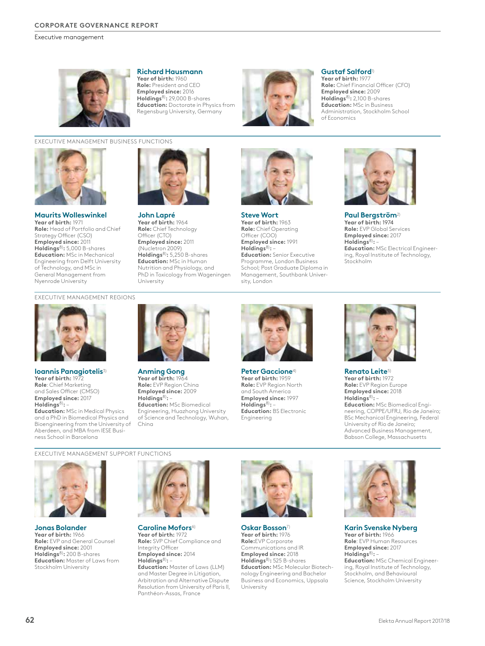Executive management



### **Richard Hausmann**

**Year of birth:** 1960 **Role:** President and CEO **Employed since:** 2016 **Holdings**8)**:** 29,000 B-shares **Education:** Doctorate in Physics from Regensburg University, Germany



## **Gustaf Salford**<sup>1)</sup>

**Year of birth:** 1977 **Role:** Chief Financial Officer (CFO) **Employed since:** 2009 **Holdings**8)**:** 2,100 B-shares **Education:** MSc in Business Administration, Stockholm School of Economics

## EXECUTIVE MANAGEMENT BUSINESS FUNCTIONS



**Maurits Wolleswinkel Year of birth:** 1971 **Role:** Head of Portfolio and Chief Strategy Officer (CSO) **Employed since:** 2011 **Holdings**8)**:** 5,000 B-shares **Education:** MSc in Mechanical Engineering from Delft University of Technology, and MSc in General Management from Nyenrode University



**John Lapré Year of birth:** 1964 **Role:** Chief Technology Officer (CTO) **Employed since:** 2011 (Nucletron 2009) **Holdings**8)**:** 5,250 B-shares **Education:** MSc in Human Nutrition and Physiology, and PhD in Toxicology from Wageningen University



**Steve Wort Year of birth:** 1963 **Role:** Chief Operating Officer (COO) **Employed since:** 1991 **Holdings**8)**:** – **Education:** Senior Executive Programme, London Business School; Post Graduate Diploma in Management, Southbank University, London



**Paul Bergström**2) **Year of birth:** 1974 **Role:** EVP Global Services **Employed since:** 2017 **Holdings**8)**:** – **Education:** MSc Electrical Engineering, Royal Institute of Technology, Stockholm

EXECUTIVE MANAGEMENT REGIONS



**Ioannis Panagiotelis**3) **Year of birth:** 1972 **Role**: Chief Marketing and Sales Officer (CMSO) **Employed since:** 2017 **Holdings**8)**:** –

**Education:** MSc in Medical Physics and a PhD in Biomedical Physics and Bioengineering from the University of Aberdeen, and MBA from IESE Business School in Barcelona



**Anming Gong Year of birth:** 1964 **Role:** EVP Region China **Employed since:** 2009 **Holdings**8)**:** – **Education:** MSc Biomedical Engineering, Huazhong University of Science and Technology, Wuhan, China



**Peter Gaccione**4) **Year of birth:** 1959 **Role:** EVP Region North and South America **Employed since:** 1997 **Holdings**8)**:** – **Education:** BS Electronic Engineering



**Renato Leite**5) **Year of birth:** 1972 **Role:** EVP Region Europe **Employed since:** 2018 **Holdings**8)**:** – **Education:** MSc Biomedical Engineering, COPPE/UFRJ, Rio de Janeiro; BSc Mechanical Engineering, Federal University of Rio de Janeiro; Advanced Business Management, Babson College, Massachusetts

EXECUTIVE MANAGEMENT SUPPORT FUNCTIONS



**Jonas Bolander Year of birth:** 1966 **Role:** EVP and General Counsel **Employed since:** 2001 **Holdings**8)**:** 200 B-shares **Education:** Master of Laws from Stockholm University



**Caroline Mofors**6) **Year of birth:** 1972 **Role:** SVP Chief Compliance and Integrity Officer **Employed since:** 2014 **Holdings**8)**:** – **Education:** Master of Laws (LLM)

and Master Degree in Litigation, Arbitration and Alternative Dispute Resolution from University of Paris II, Panthéon-Assas, France



**Oskar Bosson**7) **Year of birth:** 1976 **Role:**EVP Corporate Communications and IR **Employed since:** 2018 **Holdings**8)**:** 525 B-shares **Education:** MSc Molecular Biotechnology Engineering and Bachelor Business and Economics, Uppsala University



**Karin Svenske Nyberg Year of birth:** 1966 **Role**: EVP Human Resources **Employed since:** 2017 **Holdings**8)**:** – **Education:** MSc Chemical Engineering, Royal Institute of Technology, Stockholm, and Behavioural Science, Stockholm University